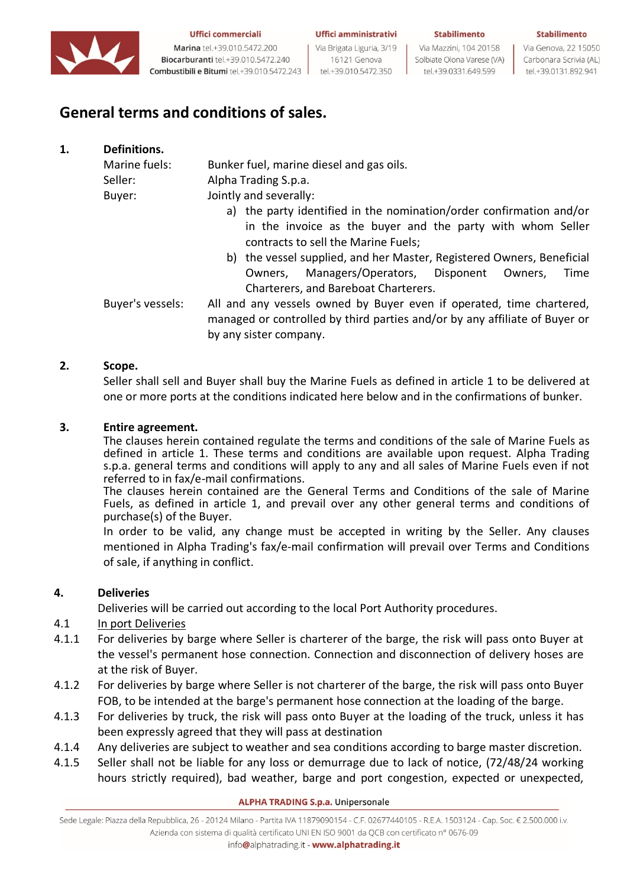

Marina tel.+39.010.5472.200 Biocarburanti tel.+39.010.5472.240 Combustibili e Bitumi tel.+39.010.5472.243 Uffici amministrativi Via Brigata Liguria, 3/19 16121 Genova

tel.+39.010.5472.350

#### Stabilimento

Via Mazzini, 104 20158 Solbiate Olona Varese (VA) tel.+39.0331.649.599

Via Genova, 22 15050 Carbonara Scrivia (AL) tel.+39.0131.892.941

Stabilimento

# **General terms and conditions of sales.**

| 1. | Definitions.     |                                                                                                                                                                              |
|----|------------------|------------------------------------------------------------------------------------------------------------------------------------------------------------------------------|
|    | Marine fuels:    | Bunker fuel, marine diesel and gas oils.                                                                                                                                     |
|    | Seller:          | Alpha Trading S.p.a.                                                                                                                                                         |
|    | Buyer:           | Jointly and severally:                                                                                                                                                       |
|    |                  | a) the party identified in the nomination/order confirmation and/or<br>in the invoice as the buyer and the party with whom Seller<br>contracts to sell the Marine Fuels;     |
|    |                  | b) the vessel supplied, and her Master, Registered Owners, Beneficial                                                                                                        |
|    |                  | Managers/Operators, Disponent<br>Time<br>Owners,<br>Owners.<br>Charterers, and Bareboat Charterers.                                                                          |
|    | Buyer's vessels: | All and any vessels owned by Buyer even if operated, time chartered,<br>managed or controlled by third parties and/or by any affiliate of Buyer or<br>by any sister company. |

### **2. Scope.**

Seller shall sell and Buyer shall buy the Marine Fuels as defined in article 1 to be delivered at one or more ports at the conditions indicated here below and in the confirmations of bunker.

### **3. Entire agreement.**

The clauses herein contained regulate the terms and conditions of the sale of Marine Fuels as defined in article 1. These terms and conditions are available upon request. Alpha Trading s.p.a. general terms and conditions will apply to any and all sales of Marine Fuels even if not referred to in fax/e-mail confirmations.

The clauses herein contained are the General Terms and Conditions of the sale of Marine Fuels, as defined in article 1, and prevail over any other general terms and conditions of purchase(s) of the Buyer.

In order to be valid, any change must be accepted in writing by the Seller. Any clauses mentioned in Alpha Trading's fax/e-mail confirmation will prevail over Terms and Conditions of sale, if anything in conflict.

# **4. Deliveries**

Deliveries will be carried out according to the local Port Authority procedures.

# 4.1 In port Deliveries

- 4.1.1 For deliveries by barge where Seller is charterer of the barge, the risk will pass onto Buyer at the vessel's permanent hose connection. Connection and disconnection of delivery hoses are at the risk of Buyer.
- 4.1.2 For deliveries by barge where Seller is not charterer of the barge, the risk will pass onto Buyer FOB, to be intended at the barge's permanent hose connection at the loading of the barge.
- 4.1.3 For deliveries by truck, the risk will pass onto Buyer at the loading of the truck, unless it has been expressly agreed that they will pass at destination
- 4.1.4 Any deliveries are subject to weather and sea conditions according to barge master discretion.
- 4.1.5 Seller shall not be liable for any loss or demurrage due to lack of notice, (72/48/24 working hours strictly required), bad weather, barge and port congestion, expected or unexpected,

#### **ALPHA TRADING S.p.a. Unipersonale**

Sede Legale: Piazza della Repubblica, 26 - 20124 Milano - Partita IVA 11879090154 - C.F. 02677440105 - R.E.A. 1503124 - Cap. Soc. € 2.500.000 i.v. Azienda con sistema di qualità certificato UNI EN ISO 9001 da QCB con certificato nº 0676-09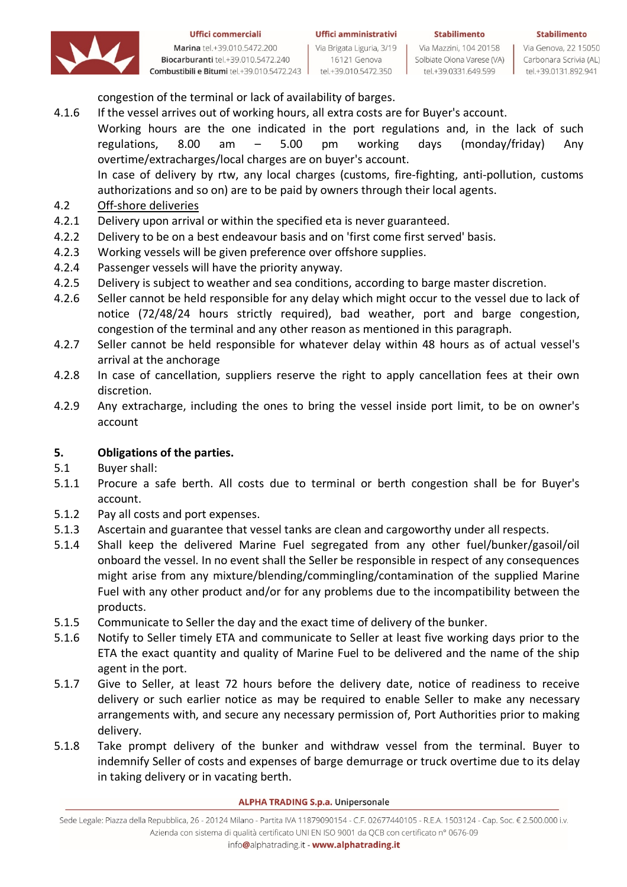



Marina tel.+39.010.5472.200 Biocarburanti tel.+39.010.5472.240 Combustibili e Bitumi tel.+39.010.5472.243

Uffici amministrativi Via Brigata Liguria, 3/19 16121 Genova

tel.+39.010.5472.350

Via Mazzini, 104 20158 Solbiate Olona Varese (VA) tel.+39.0331.649.599

**Stabilimento** 

Via Genova, 22 15050 Carbonara Scrivia (AL) tel.+39.0131.892.941

congestion of the terminal or lack of availability of barges.

4.1.6 If the vessel arrives out of working hours, all extra costs are for Buyer's account.

Working hours are the one indicated in the port regulations and, in the lack of such regulations, 8.00 am – 5.00 pm working days (monday/friday) Any overtime/extracharges/local charges are on buyer's account.

In case of delivery by rtw, any local charges (customs, fire-fighting, anti-pollution, customs authorizations and so on) are to be paid by owners through their local agents.

- 4.2 Off-shore deliveries
- 4.2.1 Delivery upon arrival or within the specified eta is never guaranteed.
- 4.2.2 Delivery to be on a best endeavour basis and on 'first come first served' basis.
- 4.2.3 Working vessels will be given preference over offshore supplies.
- 4.2.4 Passenger vessels will have the priority anyway.
- 4.2.5 Delivery is subject to weather and sea conditions, according to barge master discretion.
- 4.2.6 Seller cannot be held responsible for any delay which might occur to the vessel due to lack of notice (72/48/24 hours strictly required), bad weather, port and barge congestion, congestion of the terminal and any other reason as mentioned in this paragraph.
- 4.2.7 Seller cannot be held responsible for whatever delay within 48 hours as of actual vessel's arrival at the anchorage
- 4.2.8 In case of cancellation, suppliers reserve the right to apply cancellation fees at their own discretion.
- 4.2.9 Any extracharge, including the ones to bring the vessel inside port limit, to be on owner's account

# **5. Obligations of the parties.**

- 5.1 Buyer shall:
- 5.1.1 Procure a safe berth. All costs due to terminal or berth congestion shall be for Buyer's account.
- 5.1.2 Pay all costs and port expenses.
- 5.1.3 Ascertain and guarantee that vessel tanks are clean and cargoworthy under all respects.
- 5.1.4 Shall keep the delivered Marine Fuel segregated from any other fuel/bunker/gasoil/oil onboard the vessel. In no event shall the Seller be responsible in respect of any consequences might arise from any mixture/blending/commingling/contamination of the supplied Marine Fuel with any other product and/or for any problems due to the incompatibility between the products.
- 5.1.5 Communicate to Seller the day and the exact time of delivery of the bunker.
- 5.1.6 Notify to Seller timely ETA and communicate to Seller at least five working days prior to the ETA the exact quantity and quality of Marine Fuel to be delivered and the name of the ship agent in the port.
- 5.1.7 Give to Seller, at least 72 hours before the delivery date, notice of readiness to receive delivery or such earlier notice as may be required to enable Seller to make any necessary arrangements with, and secure any necessary permission of, Port Authorities prior to making delivery.
- 5.1.8 Take prompt delivery of the bunker and withdraw vessel from the terminal. Buyer to indemnify Seller of costs and expenses of barge demurrage or truck overtime due to its delay in taking delivery or in vacating berth.

### **ALPHA TRADING S.p.a. Unipersonale**

Sede Legale: Piazza della Repubblica, 26 - 20124 Milano - Partita IVA 11879090154 - C.F. 02677440105 - R.E.A. 1503124 - Cap. Soc. € 2.500.000 i.v. Azienda con sistema di qualità certificato UNI EN ISO 9001 da QCB con certificato nº 0676-09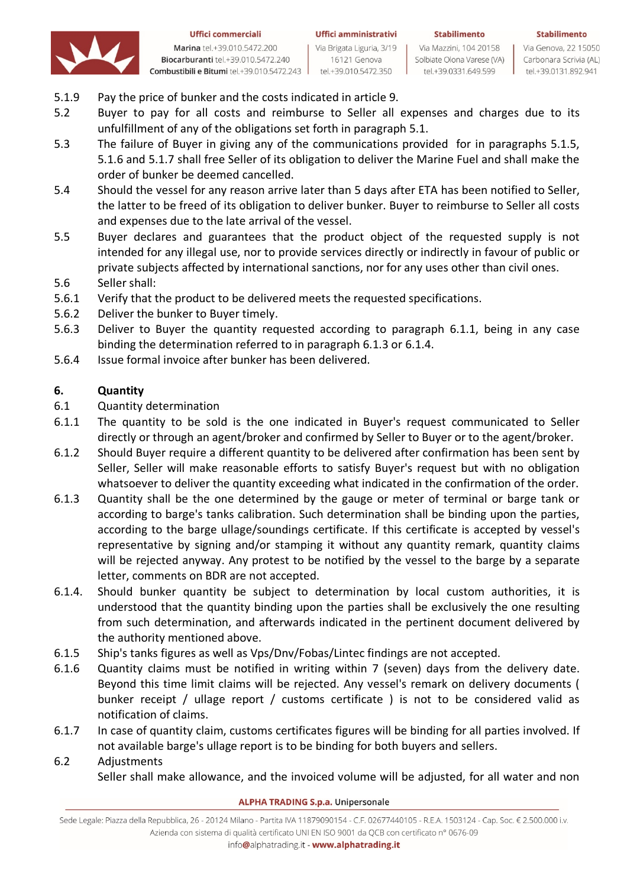



Marina tel.+39.010.5472.200 Biocarburanti tel.+39.010.5472.240 Combustibili e Bitumi tel.+39.010.5472.243

Uffici amministrativi Via Brigata Liguria, 3/19 16121 Genova tel.+39.010.5472.350

Via Mazzini, 104 20158 Solbiate Olona Varese (VA) tel.+39.0331.649.599

**Stabilimento** 

Via Genova, 22 15050 Carbonara Scrivia (AL) tel.+39.0131.892.941

- 5.1.9 Pay the price of bunker and the costs indicated in article 9.
- 5.2 Buyer to pay for all costs and reimburse to Seller all expenses and charges due to its unfulfillment of any of the obligations set forth in paragraph 5.1.
- 5.3 The failure of Buyer in giving any of the communications provided for in paragraphs 5.1.5, 5.1.6 and 5.1.7 shall free Seller of its obligation to deliver the Marine Fuel and shall make the order of bunker be deemed cancelled.
- 5.4 Should the vessel for any reason arrive later than 5 days after ETA has been notified to Seller, the latter to be freed of its obligation to deliver bunker. Buyer to reimburse to Seller all costs and expenses due to the late arrival of the vessel.
- 5.5 Buyer declares and guarantees that the product object of the requested supply is not intended for any illegal use, nor to provide services directly or indirectly in favour of public or private subjects affected by international sanctions, nor for any uses other than civil ones.
- 5.6 Seller shall:
- 5.6.1 Verify that the product to be delivered meets the requested specifications.
- 5.6.2 Deliver the bunker to Buyer timely.
- 5.6.3 Deliver to Buyer the quantity requested according to paragraph 6.1.1, being in any case binding the determination referred to in paragraph 6.1.3 or 6.1.4.
- 5.6.4 Issue formal invoice after bunker has been delivered.

# **6. Quantity**

- 6.1 Quantity determination
- 6.1.1 The quantity to be sold is the one indicated in Buyer's request communicated to Seller directly or through an agent/broker and confirmed by Seller to Buyer or to the agent/broker.
- 6.1.2 Should Buyer require a different quantity to be delivered after confirmation has been sent by Seller, Seller will make reasonable efforts to satisfy Buyer's request but with no obligation whatsoever to deliver the quantity exceeding what indicated in the confirmation of the order.
- 6.1.3 Quantity shall be the one determined by the gauge or meter of terminal or barge tank or according to barge's tanks calibration. Such determination shall be binding upon the parties, according to the barge ullage/soundings certificate. If this certificate is accepted by vessel's representative by signing and/or stamping it without any quantity remark, quantity claims will be rejected anyway. Any protest to be notified by the vessel to the barge by a separate letter, comments on BDR are not accepted.
- 6.1.4. Should bunker quantity be subject to determination by local custom authorities, it is understood that the quantity binding upon the parties shall be exclusively the one resulting from such determination, and afterwards indicated in the pertinent document delivered by the authority mentioned above.
- 6.1.5 Ship's tanks figures as well as Vps/Dnv/Fobas/Lintec findings are not accepted.
- 6.1.6 Quantity claims must be notified in writing within 7 (seven) days from the delivery date. Beyond this time limit claims will be rejected. Any vessel's remark on delivery documents ( bunker receipt / ullage report / customs certificate ) is not to be considered valid as notification of claims.
- 6.1.7 In case of quantity claim, customs certificates figures will be binding for all parties involved. If not available barge's ullage report is to be binding for both buyers and sellers.

# 6.2 Adjustments Seller shall make allowance, and the invoiced volume will be adjusted, for all water and non

**ALPHA TRADING S.p.a. Unipersonale**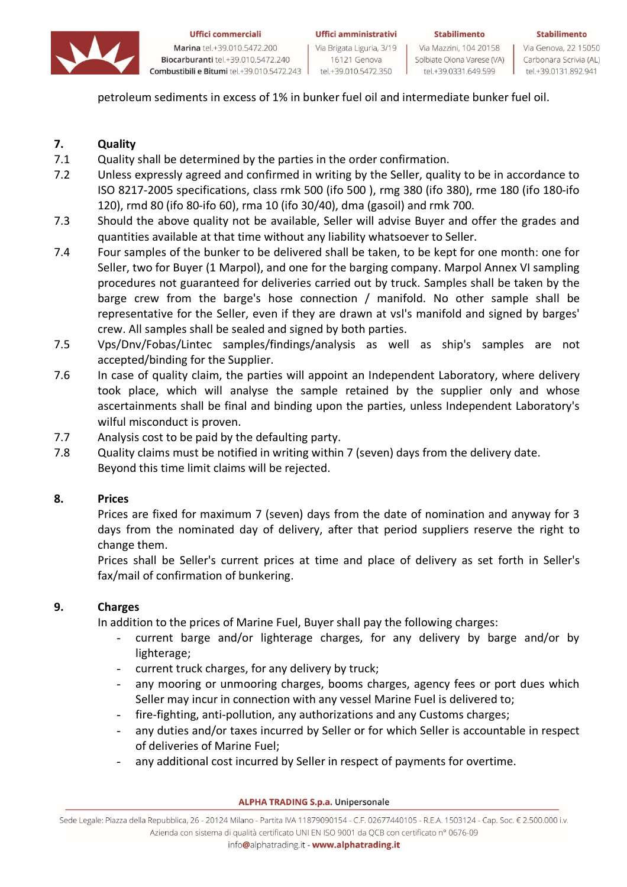

Marina tel.+39.010.5472.200 Biocarburanti tel.+39.010.5472.240 Combustibili e Bitumi tel.+39.010.5472.243

16121 Genova

tel.+39.010.5472.350

Via Mazzini, 104 20158 Solbiate Olona Varese (VA) tel.+39.0331.649.599

Via Genova, 22 15050 Carbonara Scrivia (AL) tel.+39.0131.892.941

**Stabilimento** 

petroleum sediments in excess of 1% in bunker fuel oil and intermediate bunker fuel oil.

# **7. Quality**

- 7.1 Quality shall be determined by the parties in the order confirmation.
- 7.2 Unless expressly agreed and confirmed in writing by the Seller, quality to be in accordance to ISO 8217-2005 specifications, class rmk 500 (ifo 500 ), rmg 380 (ifo 380), rme 180 (ifo 180-ifo 120), rmd 80 (ifo 80-ifo 60), rma 10 (ifo 30/40), dma (gasoil) and rmk 700.
- 7.3 Should the above quality not be available, Seller will advise Buyer and offer the grades and quantities available at that time without any liability whatsoever to Seller.
- 7.4 Four samples of the bunker to be delivered shall be taken, to be kept for one month: one for Seller, two for Buyer (1 Marpol), and one for the barging company. Marpol Annex VI sampling procedures not guaranteed for deliveries carried out by truck. Samples shall be taken by the barge crew from the barge's hose connection / manifold. No other sample shall be representative for the Seller, even if they are drawn at vsl's manifold and signed by barges' crew. All samples shall be sealed and signed by both parties.
- 7.5 Vps/Dnv/Fobas/Lintec samples/findings/analysis as well as ship's samples are not accepted/binding for the Supplier.
- 7.6 In case of quality claim, the parties will appoint an Independent Laboratory, where delivery took place, which will analyse the sample retained by the supplier only and whose ascertainments shall be final and binding upon the parties, unless Independent Laboratory's wilful misconduct is proven.
- 7.7 Analysis cost to be paid by the defaulting party.
- 7.8 Quality claims must be notified in writing within 7 (seven) days from the delivery date. Beyond this time limit claims will be rejected.

# **8. Prices**

Prices are fixed for maximum 7 (seven) days from the date of nomination and anyway for 3 days from the nominated day of delivery, after that period suppliers reserve the right to change them.

Prices shall be Seller's current prices at time and place of delivery as set forth in Seller's fax/mail of confirmation of bunkering.

# **9. Charges**

In addition to the prices of Marine Fuel, Buyer shall pay the following charges:

- current barge and/or lighterage charges, for any delivery by barge and/or by lighterage;
- current truck charges, for any delivery by truck;
- any mooring or unmooring charges, booms charges, agency fees or port dues which Seller may incur in connection with any vessel Marine Fuel is delivered to;
- fire-fighting, anti-pollution, any authorizations and any Customs charges;
- any duties and/or taxes incurred by Seller or for which Seller is accountable in respect of deliveries of Marine Fuel;
- any additional cost incurred by Seller in respect of payments for overtime.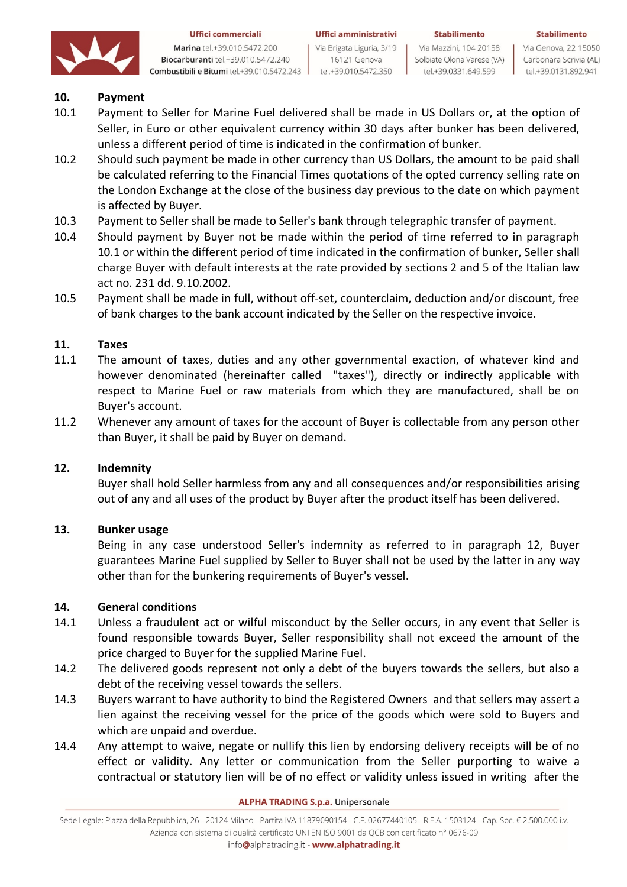

Marina tel.+39.010.5472.200 Biocarburanti tel.+39.010.5472.240 Combustibili e Bitumi tel.+39.010.5472.243 Uffici amministrativi Via Brigata Liguria, 3/19 16121 Genova

tel.+39.010.5472.350

**Stabilimento** 

Via Mazzini, 104 20158 Solbiate Olona Varese (VA) tel.+39.0331.649.599

Via Genova, 22 15050 Carbonara Scrivia (AL) tel.+39.0131.892.941

Stabilimento

# **10. Payment**

- 10.1 Payment to Seller for Marine Fuel delivered shall be made in US Dollars or, at the option of Seller, in Euro or other equivalent currency within 30 days after bunker has been delivered, unless a different period of time is indicated in the confirmation of bunker.
- 10.2 Should such payment be made in other currency than US Dollars, the amount to be paid shall be calculated referring to the Financial Times quotations of the opted currency selling rate on the London Exchange at the close of the business day previous to the date on which payment is affected by Buyer.
- 10.3 Payment to Seller shall be made to Seller's bank through telegraphic transfer of payment.
- 10.4 Should payment by Buyer not be made within the period of time referred to in paragraph 10.1 or within the different period of time indicated in the confirmation of bunker, Seller shall charge Buyer with default interests at the rate provided by sections 2 and 5 of the Italian law act no. 231 dd. 9.10.2002.
- 10.5 Payment shall be made in full, without off-set, counterclaim, deduction and/or discount, free of bank charges to the bank account indicated by the Seller on the respective invoice.

### **11. Taxes**

- 11.1 The amount of taxes, duties and any other governmental exaction, of whatever kind and however denominated (hereinafter called "taxes"), directly or indirectly applicable with respect to Marine Fuel or raw materials from which they are manufactured, shall be on Buyer's account.
- 11.2 Whenever any amount of taxes for the account of Buyer is collectable from any person other than Buyer, it shall be paid by Buyer on demand.

### **12. Indemnity**

Buyer shall hold Seller harmless from any and all consequences and/or responsibilities arising out of any and all uses of the product by Buyer after the product itself has been delivered.

### **13. Bunker usage**

Being in any case understood Seller's indemnity as referred to in paragraph 12, Buyer guarantees Marine Fuel supplied by Seller to Buyer shall not be used by the latter in any way other than for the bunkering requirements of Buyer's vessel.

### **14. General conditions**

- 14.1 Unless a fraudulent act or wilful misconduct by the Seller occurs, in any event that Seller is found responsible towards Buyer, Seller responsibility shall not exceed the amount of the price charged to Buyer for the supplied Marine Fuel.
- 14.2 The delivered goods represent not only a debt of the buyers towards the sellers, but also a debt of the receiving vessel towards the sellers.
- 14.3 Buyers warrant to have authority to bind the Registered Owners and that sellers may assert a lien against the receiving vessel for the price of the goods which were sold to Buyers and which are unpaid and overdue.
- 14.4 Any attempt to waive, negate or nullify this lien by endorsing delivery receipts will be of no effect or validity. Any letter or communication from the Seller purporting to waive a contractual or statutory lien will be of no effect or validity unless issued in writing after the

#### **ALPHA TRADING S.p.a. Unipersonale**

Sede Legale: Piazza della Repubblica, 26 - 20124 Milano - Partita IVA 11879090154 - C.F. 02677440105 - R.E.A. 1503124 - Cap. Soc. € 2.500.000 i.v. Azienda con sistema di qualità certificato UNI EN ISO 9001 da QCB con certificato nº 0676-09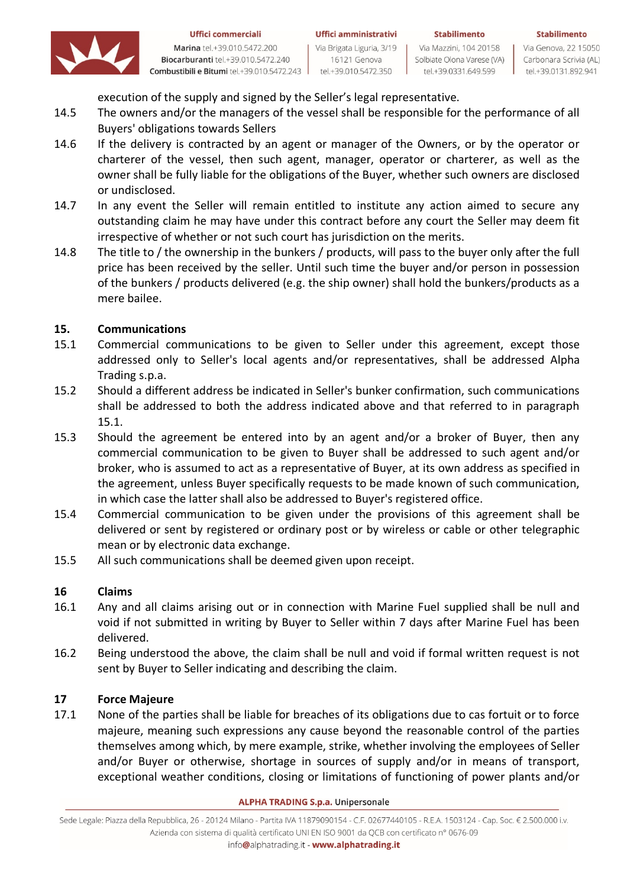

Marina tel.+39.010.5472.200 Biocarburanti tel.+39.010.5472.240 Combustibili e Bitumi tel.+39.010.5472.243

tel.+39.010.5472.350

Solbiate Olona Varese (VA)

tel.+39.0331.649.599

**Stabilimento** 

Via Genova, 22 15050 Carbonara Scrivia (AL) tel.+39.0131.892.941

execution of the supply and signed by the Seller's legal representative.

- 14.5 The owners and/or the managers of the vessel shall be responsible for the performance of all Buyers' obligations towards Sellers
- 14.6 If the delivery is contracted by an agent or manager of the Owners, or by the operator or charterer of the vessel, then such agent, manager, operator or charterer, as well as the owner shall be fully liable for the obligations of the Buyer, whether such owners are disclosed or undisclosed.
- 14.7 In any event the Seller will remain entitled to institute any action aimed to secure any outstanding claim he may have under this contract before any court the Seller may deem fit irrespective of whether or not such court has jurisdiction on the merits.
- 14.8 The title to / the ownership in the bunkers / products, will pass to the buyer only after the full price has been received by the seller. Until such time the buyer and/or person in possession of the bunkers / products delivered (e.g. the ship owner) shall hold the bunkers/products as a mere bailee.

# **15. Communications**

- 15.1 Commercial communications to be given to Seller under this agreement, except those addressed only to Seller's local agents and/or representatives, shall be addressed Alpha Trading s.p.a.
- 15.2 Should a different address be indicated in Seller's bunker confirmation, such communications shall be addressed to both the address indicated above and that referred to in paragraph 15.1.
- 15.3 Should the agreement be entered into by an agent and/or a broker of Buyer, then any commercial communication to be given to Buyer shall be addressed to such agent and/or broker, who is assumed to act as a representative of Buyer, at its own address as specified in the agreement, unless Buyer specifically requests to be made known of such communication, in which case the latter shall also be addressed to Buyer's registered office.
- 15.4 Commercial communication to be given under the provisions of this agreement shall be delivered or sent by registered or ordinary post or by wireless or cable or other telegraphic mean or by electronic data exchange.
- 15.5 All such communications shall be deemed given upon receipt.

# **16 Claims**

- 16.1 Any and all claims arising out or in connection with Marine Fuel supplied shall be null and void if not submitted in writing by Buyer to Seller within 7 days after Marine Fuel has been delivered.
- 16.2 Being understood the above, the claim shall be null and void if formal written request is not sent by Buyer to Seller indicating and describing the claim.

# **17 Force Majeure**

17.1 None of the parties shall be liable for breaches of its obligations due to cas fortuit or to force majeure, meaning such expressions any cause beyond the reasonable control of the parties themselves among which, by mere example, strike, whether involving the employees of Seller and/or Buyer or otherwise, shortage in sources of supply and/or in means of transport, exceptional weather conditions, closing or limitations of functioning of power plants and/or

#### **ALPHA TRADING S.p.a. Unipersonale**

Sede Legale: Piazza della Repubblica, 26 - 20124 Milano - Partita IVA 11879090154 - C.F. 02677440105 - R.E.A. 1503124 - Cap. Soc. € 2.500.000 i.v. Azienda con sistema di qualità certificato UNI EN ISO 9001 da QCB con certificato nº 0676-09